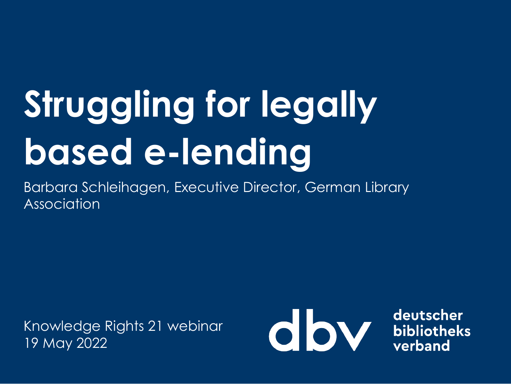# **Struggling for legally based e-lending**

Barbara Schleihagen, Executive Director, German Library Association

Knowledge Rights 21 webinar 19 May 2022



deutscher bibliotheks verband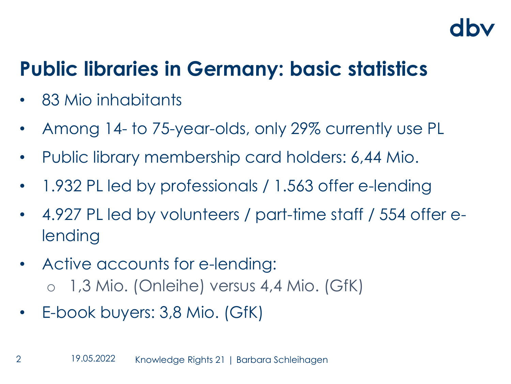### **Public libraries in Germany: basic statistics**

- 83 Mio inhabitants
- Among 14- to 75-year-olds, only 29% currently use PL
- Public library membership card holders: 6,44 Mio.
- 1.932 PL led by professionals / 1.563 offer e-lending
- 4.927 PL led by volunteers / part-time staff / 554 offer elending
- Active accounts for e-lending: o 1,3 Mio. (Onleihe) versus 4,4 Mio. (GfK)
- E-book buyers: 3,8 Mio. (GfK)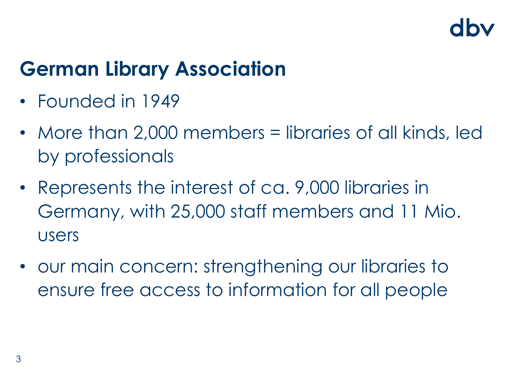### **German Library Association**

- Founded in 1949
- More than 2,000 members = libraries of all kinds, led by professionals
- Represents the interest of ca. 9,000 libraries in Germany, with 25,000 staff members and 11 Mio. users
- our main concern: strengthening our libraries to ensure free access to information for all people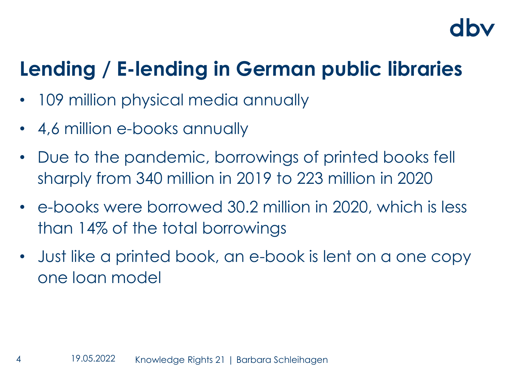### **Lending / E-lending in German public libraries**

- 109 million physical media annually
- 4,6 million e-books annually
- Due to the pandemic, borrowings of printed books fell sharply from 340 million in 2019 to 223 million in 2020
- e-books were borrowed 30.2 million in 2020, which is less than 14% of the total borrowings
- Just like a printed book, an e-book is lent on a one copy one loan model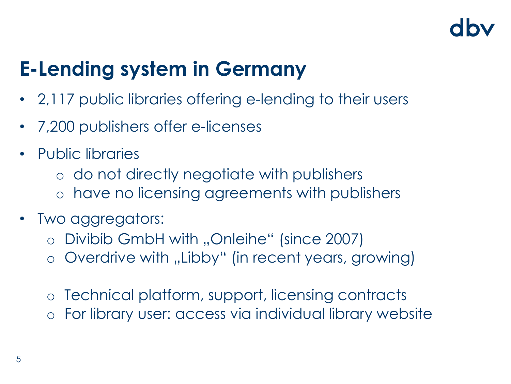### **E-Lending system in Germany**

- 2,117 public libraries offering e-lending to their users
- 7,200 publishers offer e-licenses
- Public libraries
	- o do not directly negotiate with publishers
	- o have no licensing agreements with publishers
- Two aggregators:
	- o Divibib GmbH with "Onleihe" (since 2007)
	- o Overdrive with "Libby" (in recent years, growing)
	- o Technical platform, support, licensing contracts
	- For library user: access via individual library website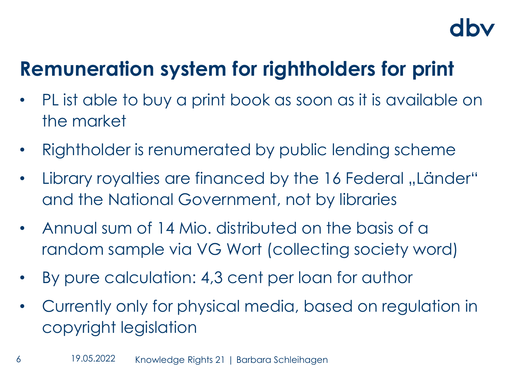### **Remuneration system for rightholders for print**

- PL ist able to buy a print book as soon as it is available on the market
- Rightholder is renumerated by public lending scheme
- Library royalties are financed by the 16 Federal "Länder" and the National Government, not by libraries
- Annual sum of 14 Mio. distributed on the basis of a random sample via VG Wort (collecting society word)
- By pure calculation: 4,3 cent per loan for author
- Currently only for physical media, based on regulation in copyright legislation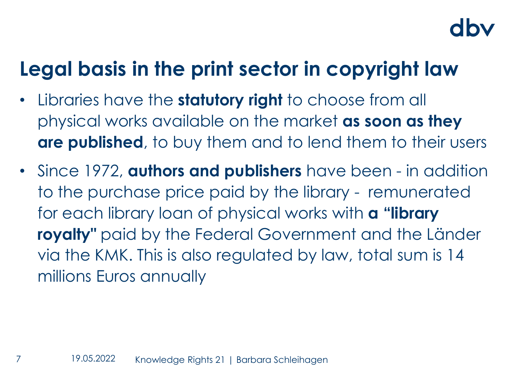### **Legal basis in the print sector in copyright law**

- Libraries have the **statutory right** to choose from all physical works available on the market **as soon as they are published**, to buy them and to lend them to their users
- Since 1972, **authors and publishers** have been in addition to the purchase price paid by the library - remunerated for each library loan of physical works with **a "library royalty"** paid by the Federal Government and the Länder via the KMK. This is also regulated by law, total sum is 14 millions Euros annually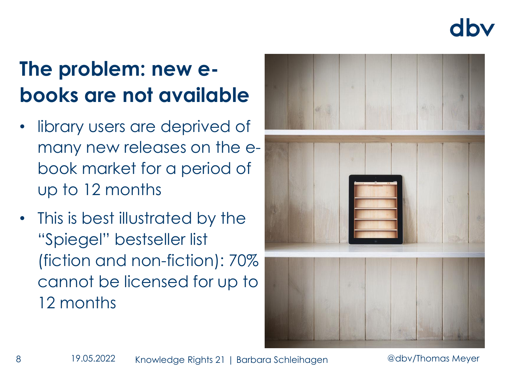dby

### **The problem: new ebooks are not available**

- library users are deprived of many new releases on the ebook market for a period of up to 12 months
- This is best illustrated by the "Spiegel" bestseller list (fiction and non-fiction): 70% cannot be licensed for up to 12 months

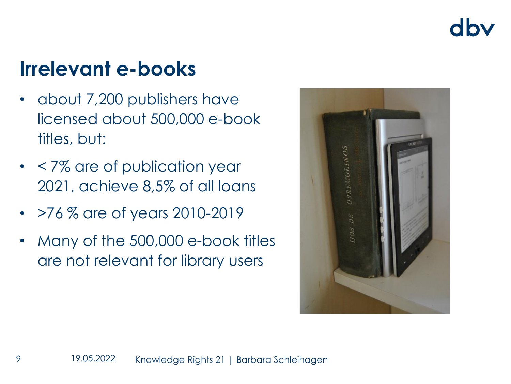### dhy

### **Irrelevant e-books**

- about 7,200 publishers have licensed about 500,000 e-book titles, but:
- < 7% are of publication year 2021, achieve 8,5% of all loans
- >76 % are of years 2010-2019
- Many of the 500,000 e-book titles are not relevant for library users

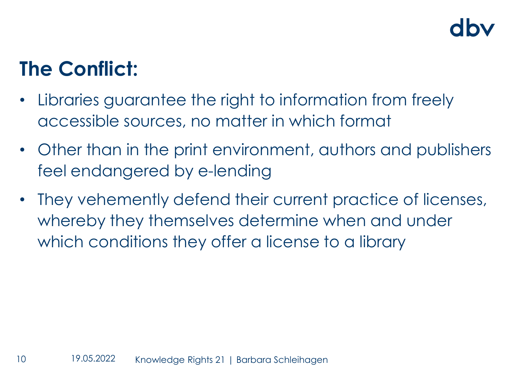### **The Conflict:**

- Libraries guarantee the right to information from freely accessible sources, no matter in which format
- Other than in the print environment, authors and publishers feel endangered by e-lending
- They vehemently defend their current practice of licenses, whereby they themselves determine when and under which conditions they offer a license to a library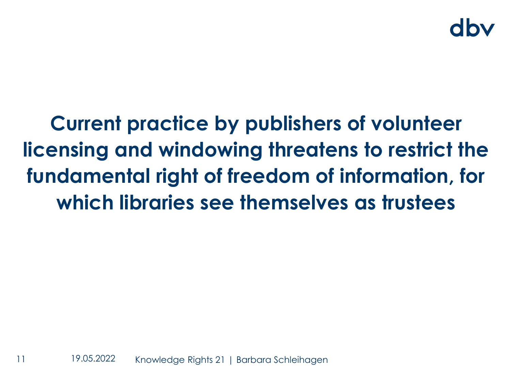**Current practice by publishers of volunteer licensing and windowing threatens to restrict the fundamental right of freedom of information, for which libraries see themselves as trustees**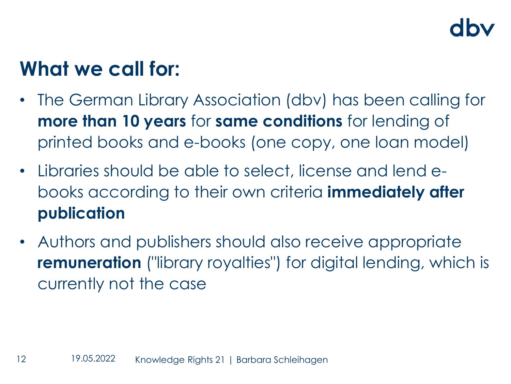### **What we call for:**

- The German Library Association (dbv) has been calling for **more than 10 years** for **same conditions** for lending of printed books and e-books (one copy, one loan model)
- Libraries should be able to select, license and lend ebooks according to their own criteria **immediately after publication**
- Authors and publishers should also receive appropriate **remuneration** ("library royalties") for digital lending, which is currently not the case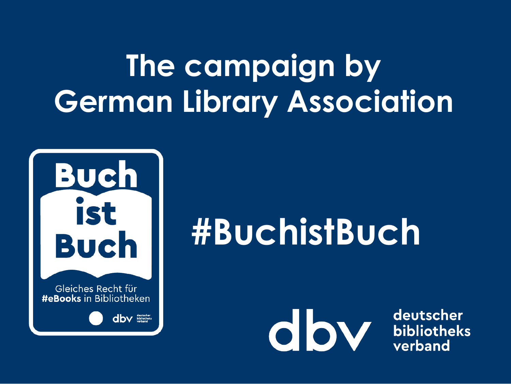# **The campaign by German Library Association**



# **#BuchistBuch**



deutscher bibliotheks verband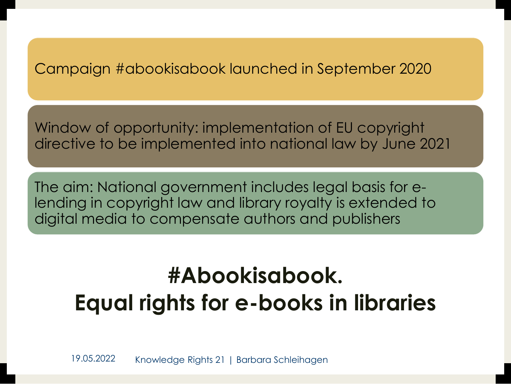### Campaign #abookisabook launched in September 2020

Window of opportunity: implementation of EU copyright directive to be implemented into national law by June 2021

The aim: National government includes legal basis for elending in copyright law and library royalty is extended to digital media to compensate authors and publishers

### **#Abookisabook. Equal rights for e-books in libraries**

19.05.2022 Knowledge Rights 21 | Barbara Schleihagen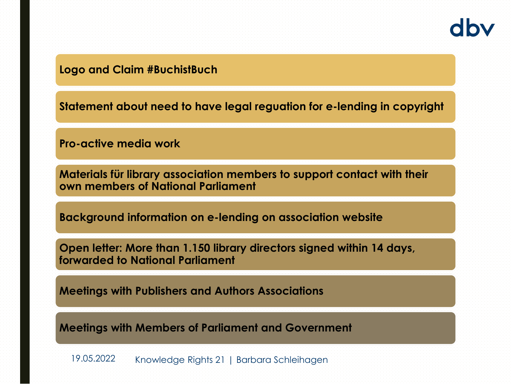**Logo and Claim #BuchistBuch**

**Statement about need to have legal reguation for e-lending in copyright**

**Pro-active media work**

**Materials für library association members to support contact with their own members of National Parliament**

**Background information on e-lending on association website**

**Open letter: More than 1.150 library directors signed within 14 days, forwarded to National Parliament**

**Meetings with Publishers and Authors Associations**

**Meetings with Members of Parliament and Government**

19.05.2022 Knowledge Rights 21 | Barbara Schleihagen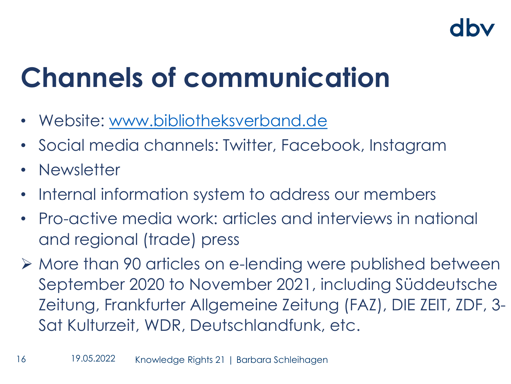# **Channels of communication**

- Website: [www.bibliotheksverband.de](http://www.bibliotheksverband.de/)
- Social media channels: Twitter, Facebook, Instagram
- Newsletter
- Internal information system to address our members
- Pro-active media work: articles and interviews in national and regional (trade) press
- ➢ More than 90 articles on e-lending were published between September 2020 to November 2021, including Süddeutsche Zeitung, Frankfurter Allgemeine Zeitung (FAZ), DIE ZEIT, ZDF, 3- Sat Kulturzeit, WDR, Deutschlandfunk, etc.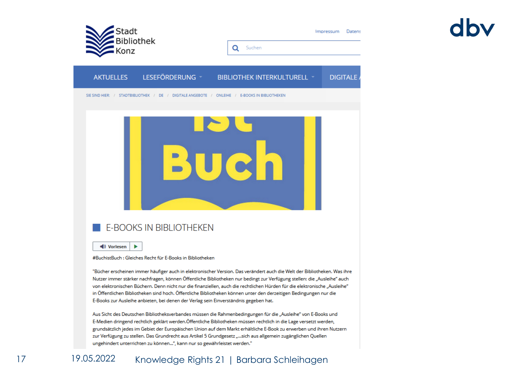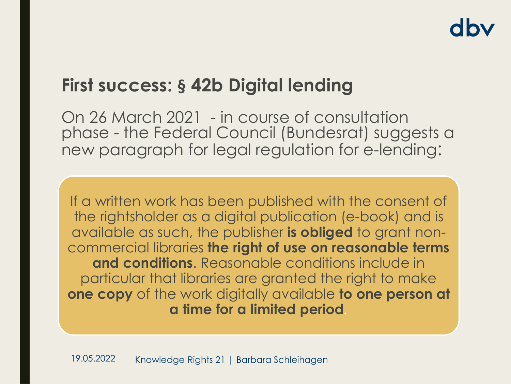### **First success: § 42b Digital lending**

On 26 March 2021 - in course of consultation phase - the Federal Council (Bundesrat) suggests a new paragraph for legal regulation for e-lending:

If a written work has been published with the consent of the rightsholder as a digital publication (e-book) and is available as such, the publisher **is obliged** to grant noncommercial libraries **the right of use on reasonable terms and conditions**. Reasonable conditions include in particular that libraries are granted the right to make **one copy** of the work digitally available **to one person at a time for a limited period***.*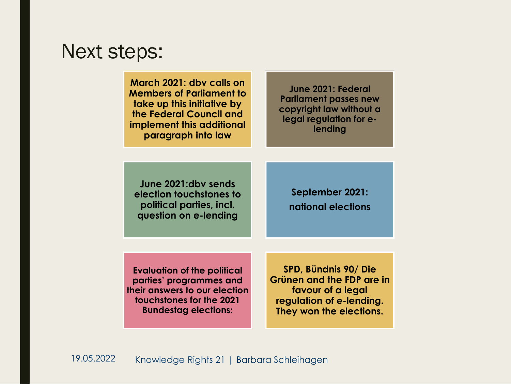### Next steps:

**March 2021: dbv calls on Members of Parliament to take up this initiative by the Federal Council and implement this additional paragraph into law**

**June 2021: Federal Parliament passes new copyright law without a legal regulation for elending**

**June 2021:dbv sends election touchstones to political parties, incl. question on e-lending**

**September 2021: national elections**

**Evaluation of the political parties' programmes and their answers to our election touchstones for the 2021 Bundestag elections:** 

**SPD, Bündnis 90/ Die Grünen and the FDP are in favour of a legal regulation of e-lending. They won the elections.**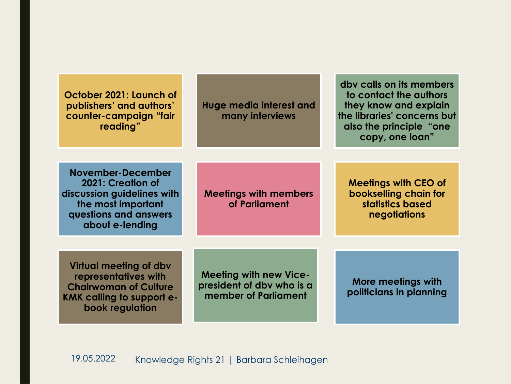| October 2021: Launch of<br>publishers' and authors'<br>counter-campaign "fair<br>reading"                                                    | <b>Huge media interest and</b><br>many interviews                                  | dby calls on its members<br>to contact the authors<br>they know and explain<br>the libraries' concerns but<br>also the principle "one"<br>copy, one loan" |
|----------------------------------------------------------------------------------------------------------------------------------------------|------------------------------------------------------------------------------------|-----------------------------------------------------------------------------------------------------------------------------------------------------------|
|                                                                                                                                              |                                                                                    |                                                                                                                                                           |
| November-December<br>2021: Creation of<br>discussion guidelines with<br>the most important<br>questions and answers<br>about e-lending       | <b>Meetings with members</b><br>of Parliament                                      | <b>Meetings with CEO of</b><br>bookselling chain for<br>statistics based<br>negotiations                                                                  |
|                                                                                                                                              |                                                                                    |                                                                                                                                                           |
| Virtual meeting of dbv<br>representatives with<br><b>Chairwoman of Culture</b><br><b>KMK calling to support e-</b><br><b>book regulation</b> | <b>Meeting with new Vice-</b><br>president of dby who is a<br>member of Parliament | More meetings with<br>politicians in planning                                                                                                             |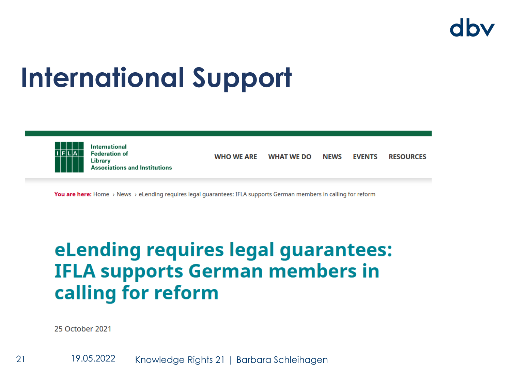## **International Support**



**You are here:** Home > News > eLending requires legal quarantees: IFLA supports German members in calling for reform

### eLending requires legal guarantees: **IFLA supports German members in** calling for reform

25 October 2021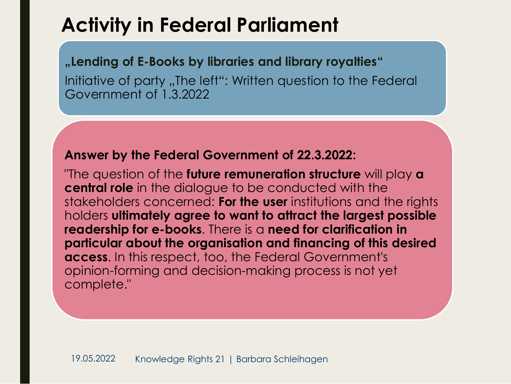### **Activity in Federal Parliament**

### **"Lending of E-Books by libraries and library royalties"**

Initiative of party "The left": Written question to the Federal Government of 1.3.2022

### **Answer by the Federal Government of 22.3.2022:**

"The question of the **future remuneration structure** will play **a central role** in the dialogue to be conducted with the stakeholders concerned: **For the user** institutions and the rights holders **ultimately agree to want to attract the largest possible readership for e-books**. There is a **need for clarification in particular about the organisation and financing of this desired access**. In this respect, too, the Federal Government's opinion-forming and decision-making process is not yet complete."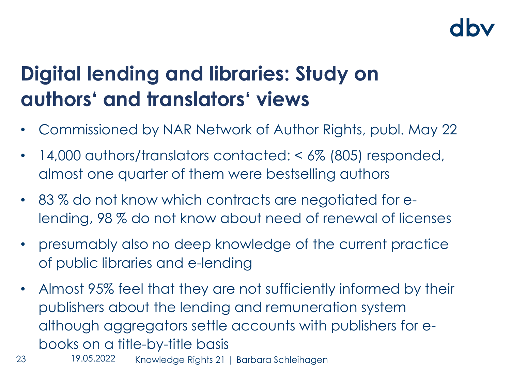### **Digital lending and libraries: Study on authors' and translators' views**

- Commissioned by NAR Network of Author Rights, publ. May 22
- 14,000 authors/translators contacted: <6% (805) responded, almost one quarter of them were bestselling authors
- 83% do not know which contracts are negotiated for elending, 98 % do not know about need of renewal of licenses
- presumably also no deep knowledge of the current practice of public libraries and e-lending
- Almost 95% feel that they are not sufficiently informed by their publishers about the lending and remuneration system although aggregators settle accounts with publishers for ebooks on a title-by-title basis
- 23 Knowledge Rights 21 | Barbara Schleihagen 19.05.2022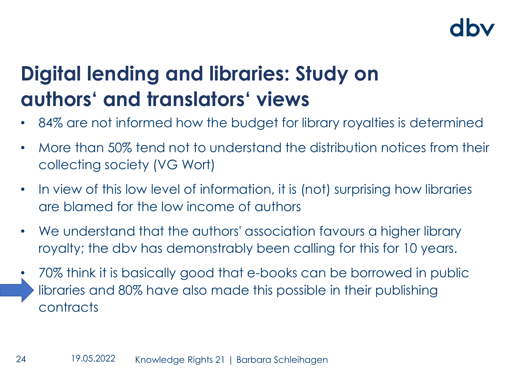### **Digital lending and libraries: Study on authors' and translators' views**

- 84% are not informed how the budget for library royalties is determined
- More than 50% tend not to understand the distribution notices from their collecting society (VG Wort)
- In view of this low level of information, it is (not) surprising how libraries are blamed for the low income of authors
- We understand that the authors' association favours a higher library royalty; the dbv has demonstrably been calling for this for 10 years.
- 70% think it is basically good that e-books can be borrowed in public libraries and 80% have also made this possible in their publishing contracts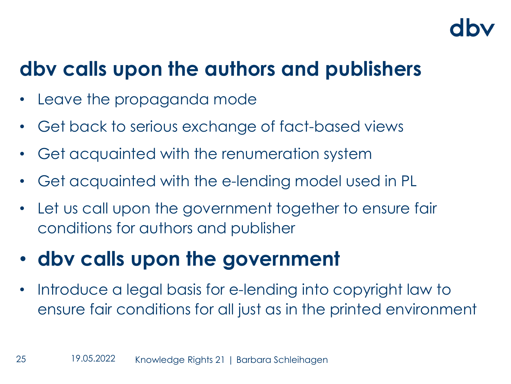### **dbv calls upon the authors and publishers**

- Leave the propaganda mode
- Get back to serious exchange of fact-based views
- Get acquainted with the renumeration system
- Get acquainted with the e-lending model used in PL
- Let us call upon the government together to ensure fair conditions for authors and publisher

### • **dbv calls upon the government**

Introduce a legal basis for e-lending into copyright law to ensure fair conditions for all just as in the printed environment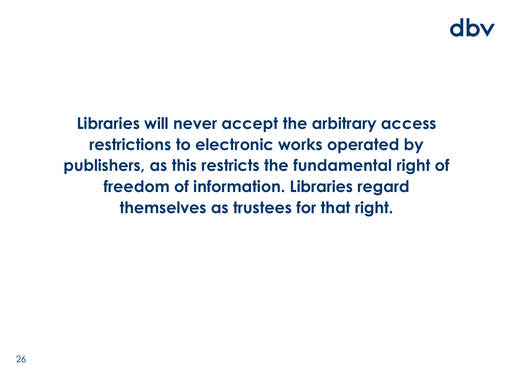### dhy

**Libraries will never accept the arbitrary access restrictions to electronic works operated by publishers, as this restricts the fundamental right of freedom of information. Libraries regard themselves as trustees for that right.**